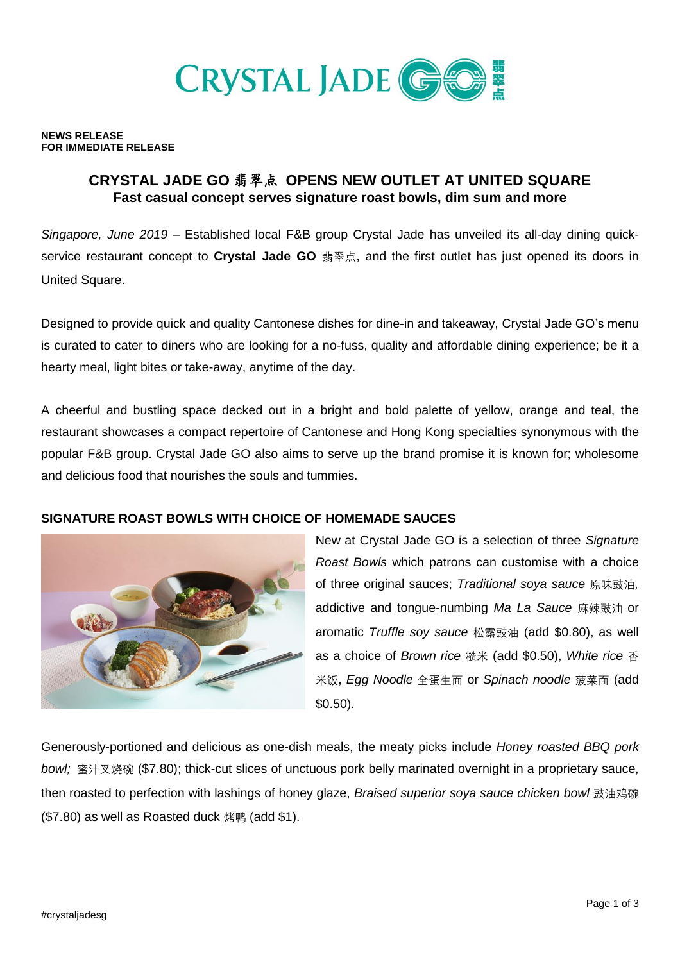

#### **NEWS RELEASE FOR IMMEDIATE RELEASE**

# **CRYSTAL JADE GO** 翡翠点 **OPENS NEW OUTLET AT UNITED SQUARE Fast casual concept serves signature roast bowls, dim sum and more**

*Singapore, June 2019* – Established local F&B group Crystal Jade has unveiled its all-day dining quickservice restaurant concept to **Crystal Jade GO** 翡翠点, and the first outlet has just opened its doors in United Square.

Designed to provide quick and quality Cantonese dishes for dine-in and takeaway, Crystal Jade GO's menu is curated to cater to diners who are looking for a no-fuss, quality and affordable dining experience; be it a hearty meal, light bites or take-away, anytime of the day.

A cheerful and bustling space decked out in a bright and bold palette of yellow, orange and teal, the restaurant showcases a compact repertoire of Cantonese and Hong Kong specialties synonymous with the popular F&B group. Crystal Jade GO also aims to serve up the brand promise it is known for; wholesome and delicious food that nourishes the souls and tummies.

### **SIGNATURE ROAST BOWLS WITH CHOICE OF HOMEMADE SAUCES**



New at Crystal Jade GO is a selection of three *Signature Roast Bowls* which patrons can customise with a choice of three original sauces; *Traditional soya sauce* 原味豉油*,* addictive and tongue-numbing *Ma La Sauce* 麻辣豉油 or aromatic *Truffle soy sauce* 松露豉油 (add \$0.80), as well as a choice of *Brown rice* 糙米 (add \$0.50), *White rice* 香 米饭, *Egg Noodle* 全蛋生面 or *Spinach noodle* 菠菜面 (add \$0.50).

Generously-portioned and delicious as one-dish meals, the meaty picks include *Honey roasted BBQ pork bowl;* 蜜汁叉烧碗 (\$7.80); thick-cut slices of unctuous pork belly marinated overnight in a proprietary sauce, then roasted to perfection with lashings of honey glaze, *Braised superior soya sauce chicken bowl* 豉油鸡碗 (\$7.80) as well as Roasted duck 烤鸭 (add \$1).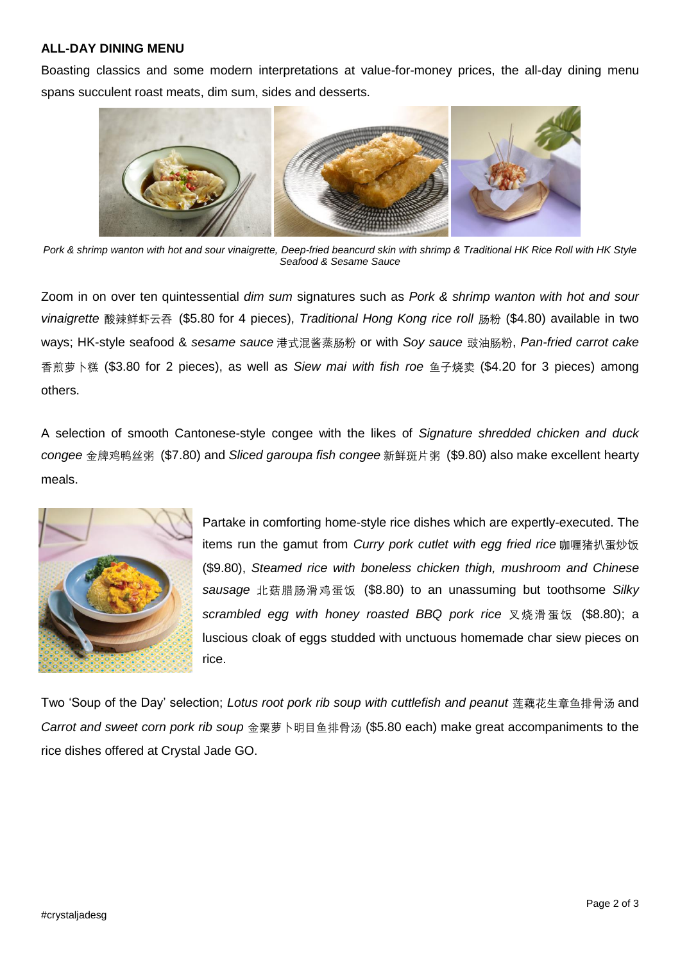### **ALL-DAY DINING MENU**

Boasting classics and some modern interpretations at value-for-money prices, the all-day dining menu spans succulent roast meats, dim sum, sides and desserts.



*Pork & shrimp wanton with hot and sour vinaigrette, Deep-fried beancurd skin with shrimp & Traditional HK Rice Roll with HK Style Seafood & Sesame Sauce*

Zoom in on over ten quintessential *dim sum* signatures such as *Pork & shrimp wanton with hot and sour vinaigrette* 酸辣鲜虾云吞 (\$5.80 for 4 pieces), *Traditional Hong Kong rice roll* 肠粉 (\$4.80) available in two ways; HK-style seafood & *sesame sauce* 港式混酱蒸肠粉 or with *Soy sauce* 豉油肠粉, *Pan-fried carrot cake* 香煎萝卜糕 (\$3.80 for 2 pieces), as well as *Siew mai with fish roe* 鱼子烧卖 (\$4.20 for 3 pieces) among others.

A selection of smooth Cantonese-style congee with the likes of *Signature shredded chicken and duck congee* 金牌鸡鸭丝粥 (\$7.80) and *Sliced garoupa fish congee* 新鲜斑片粥 (\$9.80) also make excellent hearty meals.



Partake in comforting home-style rice dishes which are expertly-executed. The items run the gamut from *Curry pork cutlet with egg fried rice* 咖喱猪扒蛋炒饭 (\$9.80), *Steamed rice with boneless chicken thigh, mushroom and Chinese sausage* 北菇腊肠滑鸡蛋饭 (\$8.80) to an unassuming but toothsome *Silky scrambled egg with honey roasted BBQ pork rice* 叉烧滑蛋饭 (\$8.80); a luscious cloak of eggs studded with unctuous homemade char siew pieces on rice.

Two 'Soup of the Day' selection; *Lotus root pork rib soup with cuttlefish and peanut* 莲藕花生章鱼排骨汤 and *Carrot and sweet corn pork rib soup* 金粟萝卜明目鱼排骨汤 (\$5.80 each) make great accompaniments to the rice dishes offered at Crystal Jade GO.